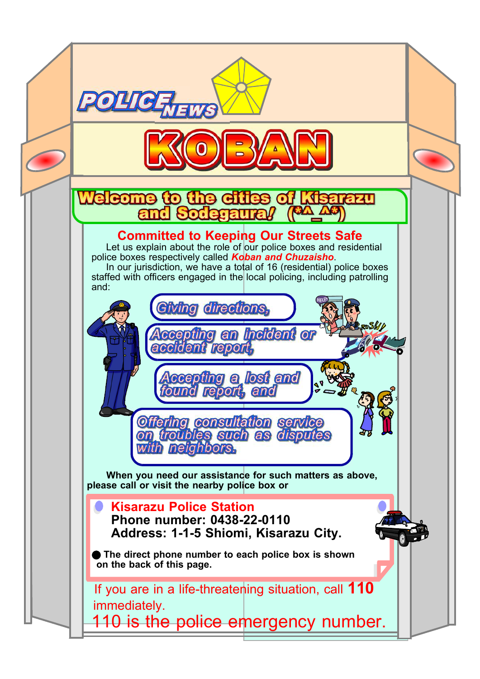